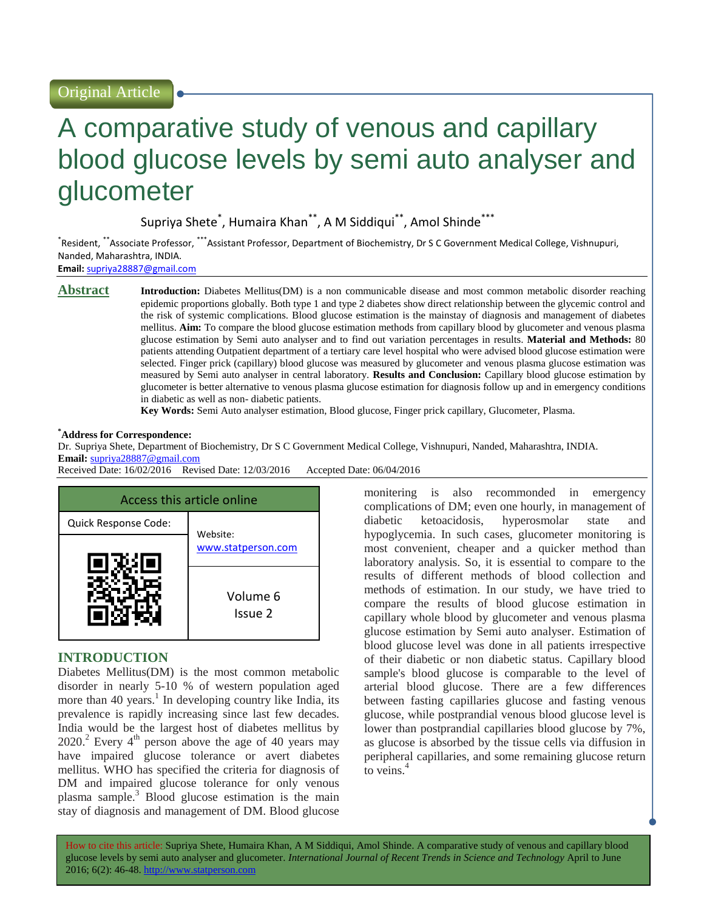# A comparative study of venous and capillary blood glucose levels by semi auto analyser and glucometer

Supriya Shete\* , Humaira Khan\*\*, A M Siddiqui\*\*, Amol Shinde\*\*\*

\*Resident, \*\*Associate Professor, \*\*\*Assistant Professor, Department of Biochemistry, Dr S C Government Medical College, Vishnupuri, Nanded, Maharashtra, INDIA.

**Email:** [supriya28887@gmail.com](mailto:supriya28887@gmail.com)

**Abstract Introduction:** Diabetes Mellitus(DM) is a non communicable disease and most common metabolic disorder reaching epidemic proportions globally. Both type 1 and type 2 diabetes show direct relationship between the glycemic control and the risk of systemic complications. Blood glucose estimation is the mainstay of diagnosis and management of diabetes mellitus. **Aim:** To compare the blood glucose estimation methods from capillary blood by glucometer and venous plasma glucose estimation by Semi auto analyser and to find out variation percentages in results. **Material and Methods:** 80 patients attending Outpatient department of a tertiary care level hospital who were advised blood glucose estimation were selected. Finger prick (capillary) blood glucose was measured by glucometer and venous plasma glucose estimation was measured by Semi auto analyser in central laboratory. **Results and Conclusion:** Capillary blood glucose estimation by glucometer is better alternative to venous plasma glucose estimation for diagnosis follow up and in emergency conditions in diabetic as well as non- diabetic patients.

**Key Words:** Semi Auto analyser estimation, Blood glucose, Finger prick capillary, Glucometer, Plasma.

#### **\*Address for Correspondence:**

Dr. Supriya Shete, Department of Biochemistry, Dr S C Government Medical College, Vishnupuri, Nanded, Maharashtra, INDIA.

# **Email:** [supriya28887@gmail.com](mailto:supriya28887@gmail.com)

Received Date: 16/02/2016 Revised Date: 12/03/2016 Accepted Date: 06/04/2016

| Access this article online |                     |  |
|----------------------------|---------------------|--|
| Quick Response Code:       | Website:            |  |
|                            | www.statperson.com  |  |
|                            | Volume 6<br>Issue 2 |  |

# **INTRODUCTION**

Diabetes Mellitus(DM) is the most common metabolic disorder in nearly 5-10 % of western population aged more than 40 years.<sup>1</sup> In developing country like India, its prevalence is rapidly increasing since last few decades. India would be the largest host of diabetes mellitus by  $2020$ <sup>2</sup> Every 4<sup>th</sup> person above the age of 40 years may have impaired glucose tolerance or avert diabetes mellitus. WHO has specified the criteria for diagnosis of DM and impaired glucose tolerance for only venous plasma sample.<sup>3</sup> Blood glucose estimation is the main stay of diagnosis and management of DM. Blood glucose

monitering is also recommonded in emergency complications of DM; even one hourly, in management of diabetic ketoacidosis, hyperosmolar state and hypoglycemia. In such cases, glucometer monitoring is most convenient, cheaper and a quicker method than laboratory analysis. So, it is essential to compare to the results of different methods of blood collection and methods of estimation. In our study, we have tried to compare the results of blood glucose estimation in capillary whole blood by glucometer and venous plasma glucose estimation by Semi auto analyser. Estimation of blood glucose level was done in all patients irrespective of their diabetic or non diabetic status. Capillary blood sample's blood glucose is comparable to the level of arterial blood glucose. There are a few differences between fasting capillaries glucose and fasting venous glucose, while postprandial venous blood glucose level is lower than postprandial capillaries blood glucose by 7%, as glucose is absorbed by the tissue cells via diffusion in peripheral capillaries, and some remaining glucose return to veins.<sup>4</sup>

How to cite this article: Supriya Shete, Humaira Khan, A M Siddiqui, Amol Shinde*.* A comparative study of venous and capillary blood glucose levels by semi auto analyser and glucometer. *International Journal of Recent Trends in Science and Technology* April to June 2016; 6(2): 46-48. http://www.statperson.com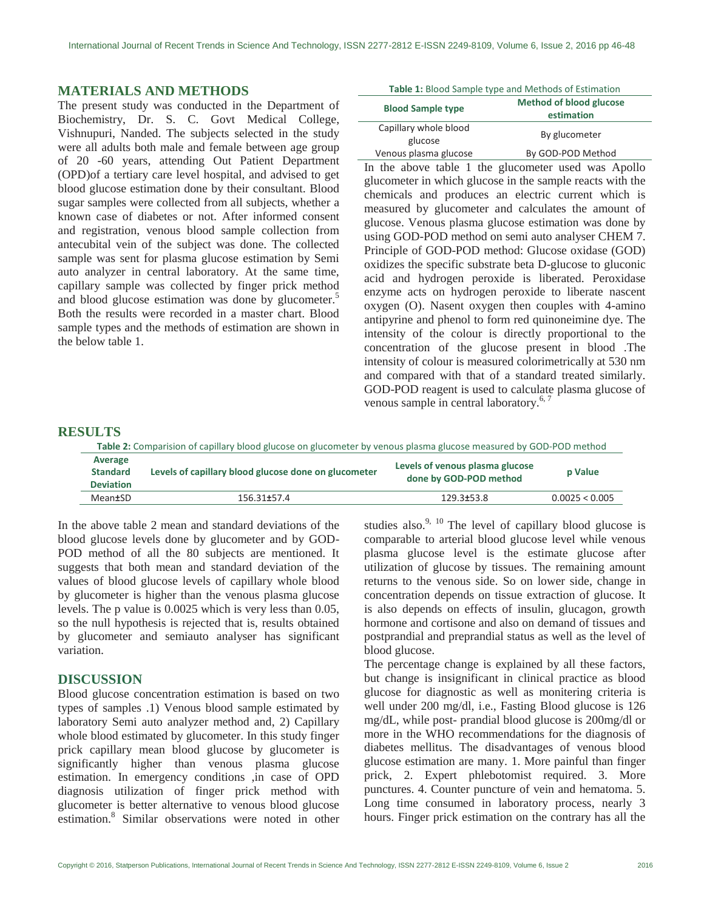#### **MATERIALS AND METHODS**

The present study was conducted in the Department of Biochemistry, Dr. S. C. Govt Medical College, Vishnupuri, Nanded. The subjects selected in the study were all adults both male and female between age group of 20 -60 years, attending Out Patient Department (OPD)of a tertiary care level hospital, and advised to get blood glucose estimation done by their consultant. Blood sugar samples were collected from all subjects, whether a known case of diabetes or not. After informed consent and registration, venous blood sample collection from antecubital vein of the subject was done. The collected sample was sent for plasma glucose estimation by Semi auto analyzer in central laboratory. At the same time, capillary sample was collected by finger prick method and blood glucose estimation was done by glucometer.<sup>5</sup> Both the results were recorded in a master chart. Blood sample types and the methods of estimation are shown in the below table 1.

| <b>Blood Sample type</b> | <b>Method of blood glucose</b><br>estimation |  |
|--------------------------|----------------------------------------------|--|
| Capillary whole blood    | By glucometer                                |  |
| glucose                  |                                              |  |
| Venous plasma glucose    | By GOD-POD Method                            |  |

In the above table 1 the glucometer used was Apollo glucometer in which glucose in the sample reacts with the chemicals and produces an electric current which is measured by glucometer and calculates the amount of glucose. Venous plasma glucose estimation was done by using GOD-POD method on semi auto analyser CHEM 7. Principle of GOD-POD method: Glucose oxidase (GOD) oxidizes the specific substrate beta D-glucose to gluconic acid and hydrogen peroxide is liberated. Peroxidase enzyme acts on hydrogen peroxide to liberate nascent oxygen (O). Nasent oxygen then couples with 4-amino antipyrine and phenol to form red quinoneimine dye. The intensity of the colour is directly proportional to the concentration of the glucose present in blood .The intensity of colour is measured colorimetrically at 530 nm and compared with that of a standard treated similarly. GOD-POD reagent is used to calculate plasma glucose of venous sample in central laboratory.<sup>6,7</sup>

## **RESULTS**

| Table 2: Comparision of capillary blood glucose on glucometer by venous plasma glucose measured by GOD-POD method |                                                      |                                                           |                |  |
|-------------------------------------------------------------------------------------------------------------------|------------------------------------------------------|-----------------------------------------------------------|----------------|--|
| Average<br><b>Standard</b><br><b>Deviation</b>                                                                    | Levels of capillary blood glucose done on glucometer | Levels of venous plasma glucose<br>done by GOD-POD method | <b>p</b> Value |  |
| Mean±SD                                                                                                           | 156.31 <del>1</del> 57.4                             | 129.3±53.8                                                | 0.0025 < 0.005 |  |

In the above table 2 mean and standard deviations of the blood glucose levels done by glucometer and by GOD-POD method of all the 80 subjects are mentioned. It suggests that both mean and standard deviation of the values of blood glucose levels of capillary whole blood by glucometer is higher than the venous plasma glucose levels. The p value is 0.0025 which is very less than 0.05, so the null hypothesis is rejected that is, results obtained by glucometer and semiauto analyser has significant variation.

#### **DISCUSSION**

Blood glucose concentration estimation is based on two types of samples .1) Venous blood sample estimated by laboratory Semi auto analyzer method and, 2) Capillary whole blood estimated by glucometer. In this study finger prick capillary mean blood glucose by glucometer is significantly higher than venous plasma glucose estimation. In emergency conditions ,in case of OPD diagnosis utilization of finger prick method with glucometer is better alternative to venous blood glucose estimation. 8 Similar observations were noted in other

studies also. $9, 10$  The level of capillary blood glucose is comparable to arterial blood glucose level while venous plasma glucose level is the estimate glucose after utilization of glucose by tissues. The remaining amount returns to the venous side. So on lower side, change in concentration depends on tissue extraction of glucose. It is also depends on effects of insulin, glucagon, growth hormone and cortisone and also on demand of tissues and postprandial and preprandial status as well as the level of blood glucose.

The percentage change is explained by all these factors, but change is insignificant in clinical practice as blood glucose for diagnostic as well as monitering criteria is well under 200 mg/dl, i.e., Fasting Blood glucose is 126 mg/dL, while post- prandial blood glucose is 200mg/dl or more in the WHO recommendations for the diagnosis of diabetes mellitus. The disadvantages of venous blood glucose estimation are many. 1. More painful than finger prick, 2. Expert phlebotomist required. 3. More punctures. 4. Counter puncture of vein and hematoma. 5. Long time consumed in laboratory process, nearly 3 hours. Finger prick estimation on the contrary has all the